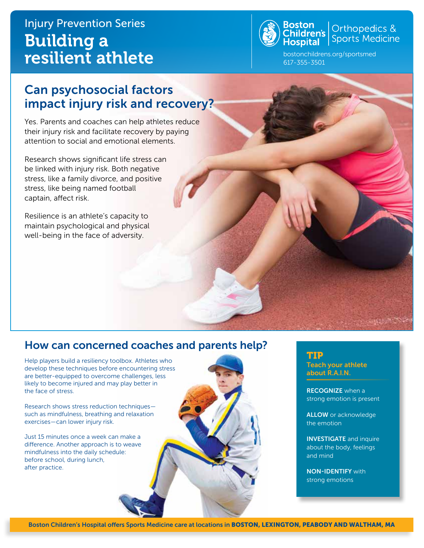# Injury Prevention Series Building a resilient athlete



Orthopedics & Sports Medicine

bostonchildrens.org/sportsmed 617-355-3501

## Can psychosocial factors impact injury risk and recovery?

Yes. Parents and coaches can help athletes reduce their injury risk and facilitate recovery by paying attention to social and emotional elements.

Research shows significant life stress can be linked with injury risk. Both negative stress, like a family divorce, and positive stress, like being named football captain, affect risk.

Resilience is an athlete's capacity to maintain psychological and physical well-being in the face of adversity.

### How can concerned coaches and parents help?

Help players build a resiliency toolbox. Athletes who develop these techniques before encountering stress are better-equipped to overcome challenges, less likely to become injured and may play better in the face of stress.

Research shows stress reduction techniques such as mindfulness, breathing and relaxation exercises—can lower injury risk.

Just 15 minutes once a week can make a difference. Another approach is to weave mindfulness into the daily schedule: before school, during lunch, after practice.

### TIP

Teach your athlete about R.A.I.N.

RECOGNIZE when a strong emotion is present

ALLOW or acknowledge the emotion

INVESTIGATE and inquire about the body, feelings and mind

NON-IDENTIFY with strong emotions

Boston Children's Hospital offers Sports Medicine care at locations in BOSTON, LEXINGTON, PEABODY AND WALTHAM, MA